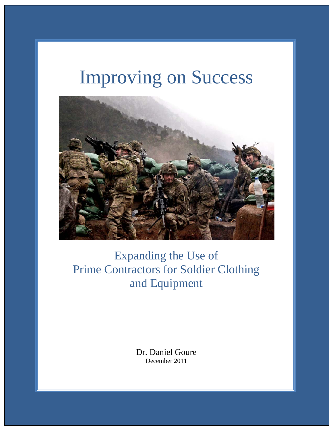# Improving on Success



# Expanding the Use of Prime Contractors for Soldier Clothing and Equipment

Dr. Daniel Goure December 2011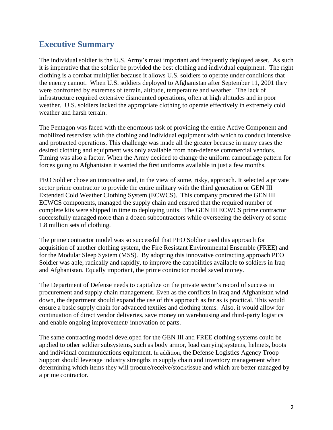### **Executive Summary**

The individual soldier is the U.S. Army's most important and frequently deployed asset. As such it is imperative that the soldier be provided the best clothing and individual equipment. The right clothing is a combat multiplier because it allows U.S. soldiers to operate under conditions that the enemy cannot. When U.S. soldiers deployed to Afghanistan after September 11, 2001 they were confronted by extremes of terrain, altitude, temperature and weather. The lack of infrastructure required extensive dismounted operations, often at high altitudes and in poor weather. U.S. soldiers lacked the appropriate clothing to operate effectively in extremely cold weather and harsh terrain.

The Pentagon was faced with the enormous task of providing the entire Active Component and mobilized reservists with the clothing and individual equipment with which to conduct intensive and protracted operations. This challenge was made all the greater because in many cases the desired clothing and equipment was only available from non-defense commercial vendors. Timing was also a factor. When the Army decided to change the uniform camouflage pattern for forces going to Afghanistan it wanted the first uniforms available in just a few months.

PEO Soldier chose an innovative and, in the view of some, risky, approach. It selected a private sector prime contractor to provide the entire military with the third generation or GEN III Extended Cold Weather Clothing System (ECWCS). This company procured the GEN III ECWCS components, managed the supply chain and ensured that the required number of complete kits were shipped in time to deploying units. The GEN III ECWCS prime contractor successfully managed more than a dozen subcontractors while overseeing the delivery of some 1.8 million sets of clothing.

The prime contractor model was so successful that PEO Soldier used this approach for acquisition of another clothing system, the Fire Resistant Environmental Ensemble (FREE) and for the Modular Sleep System (MSS). By adopting this innovative contracting approach PEO Soldier was able, radically and rapidly, to improve the capabilities available to soldiers in Iraq and Afghanistan. Equally important, the prime contractor model saved money.

The Department of Defense needs to capitalize on the private sector's record of success in procurement and supply chain management. Even as the conflicts in Iraq and Afghanistan wind down, the department should expand the use of this approach as far as is practical. This would ensure a basic supply chain for advanced textiles and clothing items. Also, it would allow for continuation of direct vendor deliveries, save money on warehousing and third-party logistics and enable ongoing improvement/ innovation of parts.

The same contracting model developed for the GEN III and FREE clothing systems could be applied to other soldier subsystems, such as body armor, load carrying systems, helmets, boots and individual communications equipment. In addition, the Defense Logistics Agency Troop Support should leverage industry strengths in supply chain and inventory management when determining which items they will procure/receive/stock/issue and which are better managed by a prime contractor.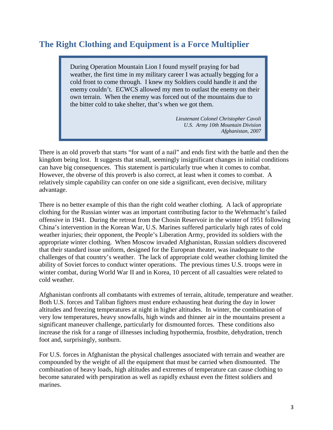# **The Right Clothing and Equipment is a Force Multiplier**

During Operation Mountain Lion I found myself praying for bad weather, the first time in my military career I was actually begging for a cold front to come through. I knew my Soldiers could handle it and the enemy couldn't. ECWCS allowed my men to outlast the enemy on their own terrain. When the enemy was forced out of the mountains due to the bitter cold to take shelter, that's when we got them.

> *Lieutenant Colonel Christopher Cavoli U.S. Army 10th Mountain Division Afghanistan, 2007*

There is an old proverb that starts "for want of a nail" and ends first with the battle and then the kingdom being lost. It suggests that small, seemingly insignificant changes in initial conditions can have big consequences. This statement is particularly true when it comes to combat. However, the obverse of this proverb is also correct, at least when it comes to combat. A relatively simple capability can confer on one side a significant, even decisive, military advantage.

There is no better example of this than the right cold weather clothing. A lack of appropriate clothing for the Russian winter was an important contributing factor to the Wehrmacht's failed offensive in 1941. During the retreat from the Chosin Reservoir in the winter of 1951 following China's intervention in the Korean War, U.S. Marines suffered particularly high rates of cold weather injuries; their opponent, the People's Liberation Army, provided its soldiers with the appropriate winter clothing. When Moscow invaded Afghanistan, Russian soldiers discovered that their standard issue uniform, designed for the European theater, was inadequate to the challenges of that country's weather. The lack of appropriate cold weather clothing limited the ability of Soviet forces to conduct winter operations. The previous times U.S. troops were in winter combat, during World War II and in Korea, 10 percent of all casualties were related to cold weather.

Afghanistan confronts all combatants with extremes of terrain, altitude, temperature and weather. Both U.S. forces and Taliban fighters must endure exhausting heat during the day in lower altitudes and freezing temperatures at night in higher altitudes. In winter, the combination of very low temperatures, heavy snowfalls, high winds and thinner air in the mountains present a significant maneuver challenge, particularly for dismounted forces. These conditions also increase the risk for a range of illnesses including hypothermia, frostbite, dehydration, trench foot and, surprisingly, sunburn.

For U.S. forces in Afghanistan the physical challenges associated with terrain and weather are compounded by the weight of all the equipment that must be carried when dismounted. The combination of heavy loads, high altitudes and extremes of temperature can cause clothing to become saturated with perspiration as well as rapidly exhaust even the fittest soldiers and marines.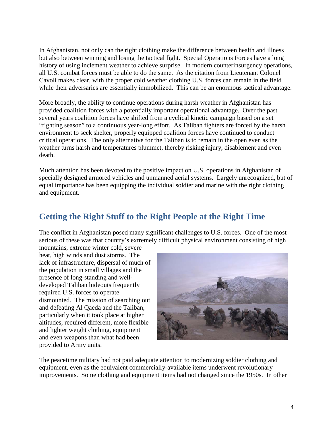In Afghanistan, not only can the right clothing make the difference between health and illness but also between winning and losing the tactical fight. Special Operations Forces have a long history of using inclement weather to achieve surprise. In modern counterinsurgency operations, all U.S. combat forces must be able to do the same. As the citation from Lieutenant Colonel Cavoli makes clear, with the proper cold weather clothing U.S. forces can remain in the field while their adversaries are essentially immobilized. This can be an enormous tactical advantage.

More broadly, the ability to continue operations during harsh weather in Afghanistan has provided coalition forces with a potentially important operational advantage. Over the past several years coalition forces have shifted from a cyclical kinetic campaign based on a set "fighting season" to a continuous year-long effort. As Taliban fighters are forced by the harsh environment to seek shelter, properly equipped coalition forces have continued to conduct critical operations. The only alternative for the Taliban is to remain in the open even as the weather turns harsh and temperatures plummet, thereby risking injury, disablement and even death.

Much attention has been devoted to the positive impact on U.S. operations in Afghanistan of specially designed armored vehicles and unmanned aerial systems. Largely unrecognized, but of equal importance has been equipping the individual soldier and marine with the right clothing and equipment.

#### **Getting the Right Stuff to the Right People at the Right Time**

The conflict in Afghanistan posed many significant challenges to U.S. forces. One of the most serious of these was that country's extremely difficult physical environment consisting of high mountains, extreme winter cold, severe

heat, high winds and dust storms. The lack of infrastructure, dispersal of much of the population in small villages and the presence of long-standing and welldeveloped Taliban hideouts frequently required U.S. forces to operate dismounted. The mission of searching out and defeating Al Qaeda and the Taliban, particularly when it took place at higher altitudes, required different, more flexible and lighter weight clothing, equipment and even weapons than what had been provided to Army units.



The peacetime military had not paid adequate attention to modernizing soldier clothing and equipment, even as the equivalent commercially-available items underwent revolutionary improvements. Some clothing and equipment items had not changed since the 1950s. In other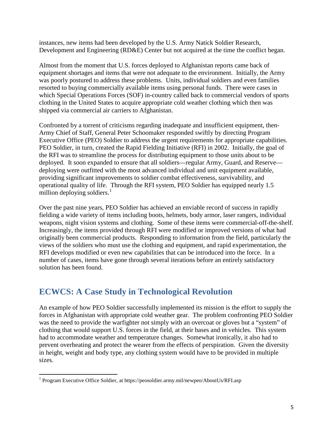instances, new items had been developed by the U.S. Army Natick Soldier Research, Development and Engineering (RD&E) Center but not acquired at the time the conflict began.

Almost from the moment that U.S. forces deployed to Afghanistan reports came back of equipment shortages and items that were not adequate to the environment. Initially, the Army was poorly postured to address these problems. Units, individual soldiers and even families resorted to buying commercially available items using personal funds. There were cases in which Special Operations Forces (SOF) in-country called back to commercial vendors of sports clothing in the United States to acquire appropriate cold weather clothing which then was shipped via commercial air carriers to Afghanistan.

Confronted by a torrent of criticisms regarding inadequate and insufficient equipment, then-Army Chief of Staff, General Peter Schoomaker responded swiftly by directing Program Executive Office (PEO) Soldier to address the urgent requirements for appropriate capabilities. PEO Soldier, in turn, created the Rapid Fielding Initiative (RFI) in 2002. Initially, the goal of the RFI was to streamline the process for distributing equipment to those units about to be deployed. It soon expanded to ensure that all soldiers—regular Army, Guard, and Reserve deploying were outfitted with the most advanced individual and unit equipment available, providing significant improvements to soldier combat effectiveness, survivability, and operational quality of life. Through the RFI system, PEO Soldier has equipped nearly 1.5 million deploying soldiers. $<sup>1</sup>$  $<sup>1</sup>$  $<sup>1</sup>$ </sup>

Over the past nine years, PEO Soldier has achieved an enviable record of success in rapidly fielding a wide variety of items including boots, helmets, body armor, laser rangers, individual weapons, night vision systems and clothing. Some of these items were commercial-off-the-shelf. Increasingly, the items provided through RFI were modified or improved versions of what had originally been commercial products. Responding to information from the field, particularly the views of the soldiers who must use the clothing and equipment, and rapid experimentation, the RFI develops modified or even new capabilities that can be introduced into the force. In a number of cases, items have gone through several iterations before an entirely satisfactory solution has been found.

## **ECWCS: A Case Study in Technological Revolution**

An example of how PEO Soldier successfully implemented its mission is the effort to supply the forces in Afghanistan with appropriate cold weather gear. The problem confronting PEO Soldier was the need to provide the warfighter not simply with an overcoat or gloves but a "system" of clothing that would support U.S. forces in the field, at their bases and in vehicles. This system had to accommodate weather and temperature changes. Somewhat ironically, it also had to prevent overheating and protect the wearer from the effects of perspiration. Given the diversity in height, weight and body type, any clothing system would have to be provided in multiple sizes.

<span id="page-4-0"></span><sup>1</sup> Program Executive Office Soldier, at https://peosoldier.army.mil/newpeo/AboutUs/RFI.asp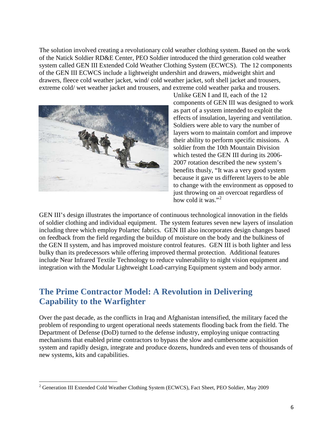The solution involved creating a revolutionary cold weather clothing system. Based on the work of the Natick Soldier RD&E Center, PEO Soldier introduced the third generation cold weather system called GEN III Extended Cold Weather Clothing System (ECWCS). The 12 components of the GEN III ECWCS include a lightweight undershirt and drawers, midweight shirt and drawers, fleece cold weather jacket, wind/ cold weather jacket, soft shell jacket and trousers, extreme cold/ wet weather jacket and trousers, and extreme cold weather parka and trousers.



Unlike GEN I and II, each of the 12 components of GEN III was designed to work as part of a system intended to exploit the effects of insulation, layering and ventilation. Soldiers were able to vary the number of layers worn to maintain comfort and improve their ability to perform specific missions. A soldier from the 10th Mountain Division which tested the GEN III during its 2006- 2007 rotation described the new system's benefits thusly, "It was a very good system because it gave us different layers to be able to change with the environment as opposed to just throwing on an overcoat regardless of how cold it was."<sup>[2](#page-5-0)</sup>

GEN III's design illustrates the importance of continuous technological innovation in the fields of soldier clothing and individual equipment. The system features seven new layers of insulation including three which employ Polartec fabrics. GEN III also incorporates design changes based on feedback from the field regarding the buildup of moisture on the body and the bulkiness of the GEN II system, and has improved moisture control features. GEN III is both lighter and less bulky than its predecessors while offering improved thermal protection. Additional features include Near Infrared Textile Technology to reduce vulnerability to night vision equipment and integration with the Modular Lightweight Load-carrying Equipment system and body armor.

#### **The Prime Contractor Model: A Revolution in Delivering Capability to the Warfighter**

Over the past decade, as the conflicts in Iraq and Afghanistan intensified, the military faced the problem of responding to urgent operational needs statements flooding back from the field. The Department of Defense (DoD) turned to the defense industry, employing unique contracting mechanisms that enabled prime contractors to bypass the slow and cumbersome acquisition system and rapidly design, integrate and produce dozens, hundreds and even tens of thousands of new systems, kits and capabilities.

<span id="page-5-0"></span><sup>&</sup>lt;sup>2</sup> Generation III Extended Cold Weather Clothing System (ECWCS), Fact Sheet, PEO Soldier, May 2009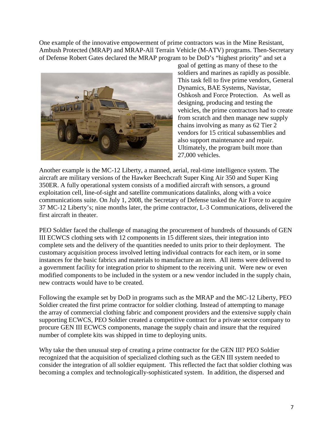One example of the innovative empowerment of prime contractors was in the Mine Resistant, Ambush Protected (MRAP) and MRAP-All Terrain Vehicle (M-ATV) programs. Then-Secretary of Defense Robert Gates declared the MRAP program to be DoD's "highest priority" and set a



goal of getting as many of these to the soldiers and marines as rapidly as possible. This task fell to five prime vendors, General Dynamics, BAE Systems, Navistar, Oshkosh and Force Protection. As well as designing, producing and testing the vehicles, the prime contractors had to create from scratch and then manage new supply chains involving as many as 62 Tier 2 vendors for 15 critical subassemblies and also support maintenance and repair. Ultimately, the program built more than 27,000 vehicles.

Another example is the MC-12 Liberty, a manned, aerial, real-time intelligence system. The aircraft are military versions of the Hawker Beechcraft Super King Air 350 and Super King 350ER. A fully operational system consists of a modified aircraft with sensors, a ground exploitation cell, line-of-sight and satellite communications datalinks, along with a voice communications suite. On July 1, 2008, the Secretary of Defense tasked the Air Force to acquire 37 MC-12 Liberty's; nine months later, the prime contractor, L-3 Communications, delivered the first aircraft in theater.

PEO Soldier faced the challenge of managing the procurement of hundreds of thousands of GEN III ECWCS clothing sets with 12 components in 15 different sizes, their integration into complete sets and the delivery of the quantities needed to units prior to their deployment. The customary acquisition process involved letting individual contracts for each item, or in some instances for the basic fabrics and materials to manufacture an item. All items were delivered to a government facility for integration prior to shipment to the receiving unit. Were new or even modified components to be included in the system or a new vendor included in the supply chain, new contracts would have to be created.

Following the example set by DoD in programs such as the MRAP and the MC-12 Liberty, PEO Soldier created the first prime contractor for soldier clothing. Instead of attempting to manage the array of commercial clothing fabric and component providers and the extensive supply chain supporting ECWCS, PEO Soldier created a competitive contract for a private sector company to procure GEN III ECWCS components, manage the supply chain and insure that the required number of complete kits was shipped in time to deploying units.

Why take the then unusual step of creating a prime contractor for the GEN III? PEO Soldier recognized that the acquisition of specialized clothing such as the GEN III system needed to consider the integration of all soldier equipment. This reflected the fact that soldier clothing was becoming a complex and technologically-sophisticated system. In addition, the dispersed and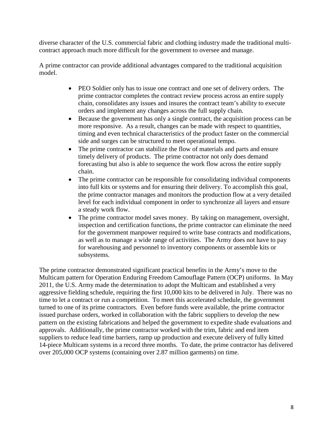diverse character of the U.S. commercial fabric and clothing industry made the traditional multicontract approach much more difficult for the government to oversee and manage.

A prime contractor can provide additional advantages compared to the traditional acquisition model.

- PEO Soldier only has to issue one contract and one set of delivery orders. The prime contractor completes the contract review process across an entire supply chain, consolidates any issues and insures the contract team's ability to execute orders and implement any changes across the full supply chain.
- Because the government has only a single contract, the acquisition process can be more responsive. As a result, changes can be made with respect to quantities, timing and even technical characteristics of the product faster on the commercial side and surges can be structured to meet operational tempo.
- The prime contractor can stabilize the flow of materials and parts and ensure timely delivery of products. The prime contractor not only does demand forecasting but also is able to sequence the work flow across the entire supply chain.
- The prime contractor can be responsible for consolidating individual components into full kits or systems and for ensuring their delivery. To accomplish this goal, the prime contractor manages and monitors the production flow at a very detailed level for each individual component in order to synchronize all layers and ensure a steady work flow.
- The prime contractor model saves money. By taking on management, oversight, inspection and certification functions, the prime contractor can eliminate the need for the government manpower required to write base contracts and modifications, as well as to manage a wide range of activities. The Army does not have to pay for warehousing and personnel to inventory components or assemble kits or subsystems.

The prime contractor demonstrated significant practical benefits in the Army's move to the Multicam pattern for Operation Enduring Freedom Camouflage Pattern (OCP) uniforms. In May 2011, the U.S. Army made the determination to adopt the Multicam and established a very aggressive fielding schedule, requiring the first 10,000 kits to be delivered in July. There was no time to let a contract or run a competition. To meet this accelerated schedule, the government turned to one of its prime contractors. Even before funds were available, the prime contractor issued purchase orders, worked in collaboration with the fabric suppliers to develop the new pattern on the existing fabrications and helped the government to expedite shade evaluations and approvals. Additionally, the prime contractor worked with the trim, fabric and end item suppliers to reduce lead time barriers, ramp up production and execute delivery of fully kitted 14-piece Multicam systems in a record three months. To date, the prime contractor has delivered over 205,000 OCP systems (containing over 2.87 million garments) on time.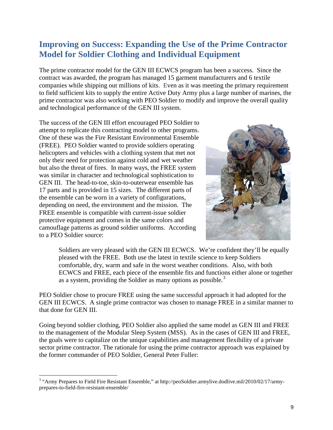### **Improving on Success: Expanding the Use of the Prime Contractor Model for Soldier Clothing and Individual Equipment**

The prime contractor model for the GEN III ECWCS program has been a success. Since the contract was awarded, the program has managed 15 garment manufacturers and 6 textile companies while shipping out millions of kits. Even as it was meeting the primary requirement to field sufficient kits to supply the entire Active Duty Army plus a large number of marines, the prime contractor was also working with PEO Soldier to modify and improve the overall quality and technological performance of the GEN III system.

The success of the GEN III effort encouraged PEO Soldier to attempt to replicate this contracting model to other programs. One of these was the Fire Resistant Environmental Ensemble (FREE). PEO Soldier wanted to provide soldiers operating helicopters and vehicles with a clothing system that met not only their need for protection against cold and wet weather but also the threat of fires. In many ways, the FREE system was similar in character and technological sophistication to GEN III. The head-to-toe, skin-to-outerwear ensemble has 17 parts and is provided in 15 sizes. The different parts of the ensemble can be worn in a variety of configurations, depending on need, the environment and the mission. The FREE ensemble is compatible with current-issue soldier protective equipment and comes in the same colors and camouflage patterns as ground soldier uniforms. According to a PEO Soldier source:



Soldiers are very pleased with the GEN III ECWCS. We're confident they'll be equally pleased with the FREE. Both use the latest in textile science to keep Soldiers comfortable, dry, warm and safe in the worst weather conditions. Also, with both ECWCS and FREE, each piece of the ensemble fits and functions either alone or together as a system, providing the Soldier as many options as possible.<sup>[3](#page-8-0)</sup>

PEO Soldier chose to procure FREE using the same successful approach it had adopted for the GEN III ECWCS. A single prime contractor was chosen to manage FREE in a similar manner to that done for GEN III.

Going beyond soldier clothing, PEO Soldier also applied the same model as GEN III and FREE to the management of the Modular Sleep System (MSS). As in the cases of GEN III and FREE, the goals were to capitalize on the unique capabilities and management flexibility of a private sector prime contractor. The rationale for using the prime contractor approach was explained by the former commander of PEO Soldier, General Peter Fuller:

<span id="page-8-0"></span><sup>&</sup>lt;sup>3</sup> "Army Prepares to Field Fire Resistant Ensemble," at http://peoSoldier.armylive.dodlive.mil/2010/02/17/armyprepares-to-field-fire-resistant-ensemble/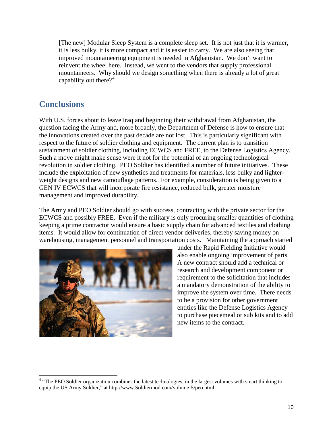[The new] Modular Sleep System is a complete sleep set. It is not just that it is warmer, it is less bulky, it is more compact and it is easier to carry. We are also seeing that improved mountaineering equipment is needed in Afghanistan. We don't want to reinvent the wheel here. Instead, we went to the vendors that supply professional mountaineers. Why should we design something when there is already a lot of great capability out there?<sup>[4](#page-9-0)</sup>

#### **Conclusions**

With U.S. forces about to leave Iraq and beginning their withdrawal from Afghanistan, the question facing the Army and, more broadly, the Department of Defense is how to ensure that the innovations created over the past decade are not lost. This is particularly significant with respect to the future of soldier clothing and equipment. The current plan is to transition sustainment of soldier clothing, including ECWCS and FREE, to the Defense Logistics Agency. Such a move might make sense were it not for the potential of an ongoing technological revolution in soldier clothing. PEO Soldier has identified a number of future initiatives. These include the exploitation of new synthetics and treatments for materials, less bulky and lighterweight designs and new camouflage patterns. For example, consideration is being given to a GEN IV ECWCS that will incorporate fire resistance, reduced bulk, greater moisture management and improved durability.

The Army and PEO Soldier should go with success, contracting with the private sector for the ECWCS and possibly FREE. Even if the military is only procuring smaller quantities of clothing keeping a prime contractor would ensure a basic supply chain for advanced textiles and clothing items. It would allow for continuation of direct vendor deliveries, thereby saving money on warehousing, management personnel and transportation costs. Maintaining the approach started



under the Rapid Fielding Initiative would also enable ongoing improvement of parts. A new contract should add a technical or research and development component or requirement to the solicitation that includes a mandatory demonstration of the ability to improve the system over time. There needs to be a provision for other government entities like the Defense Logistics Agency to purchase piecemeal or sub kits and to add new items to the contract.

<span id="page-9-0"></span><sup>&</sup>lt;sup>4</sup> "The PEO Soldier organization combines the latest technologies, in the largest volumes with smart thinking to equip the US Army Soldier," at http://www.Soldiermod.com/volume-5/peo.html